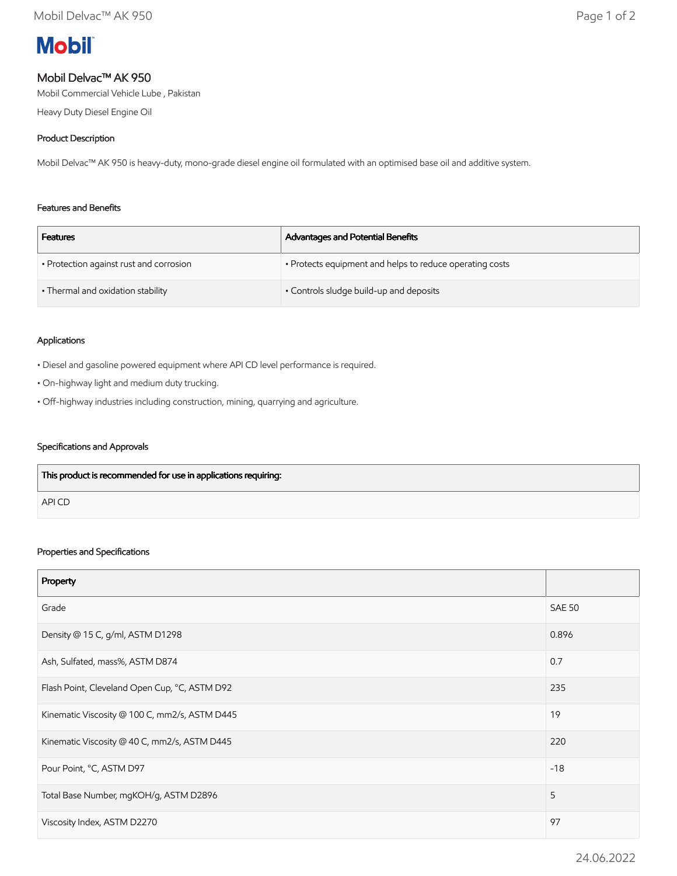# **Mobil**

## Mobil Delvac™ AK 950

Mobil Commercial Vehicle Lube , Pakistan

Heavy Duty Diesel Engine Oil

## Product Description

Mobil Delvac™ AK 950 is heavy-duty, mono-grade diesel engine oil formulated with an optimised base oil and additive system.

#### Features and Benefits

| <b>Features</b>                         | Advantages and Potential Benefits                        |
|-----------------------------------------|----------------------------------------------------------|
| • Protection against rust and corrosion | • Protects equipment and helps to reduce operating costs |
| • Thermal and oxidation stability       | • Controls sludge build-up and deposits                  |

#### Applications

• Diesel and gasoline powered equipment where API CD level performance is required.

- On-highway light and medium duty trucking.
- Off-highway industries including construction, mining, quarrying and agriculture.

#### Specifications and Approvals

| This product is recommended for use in applications requiring: |  |
|----------------------------------------------------------------|--|
| <b>APICD</b>                                                   |  |

#### Properties and Specifications

| Property                                      |               |
|-----------------------------------------------|---------------|
| Grade                                         | <b>SAE 50</b> |
| Density @ 15 C, g/ml, ASTM D1298              | 0.896         |
| Ash, Sulfated, mass%, ASTM D874               | 0.7           |
| Flash Point, Cleveland Open Cup, °C, ASTM D92 | 235           |
| Kinematic Viscosity @ 100 C, mm2/s, ASTM D445 | 19            |
| Kinematic Viscosity @ 40 C, mm2/s, ASTM D445  | 220           |
| Pour Point, °C, ASTM D97                      | $-18$         |
| Total Base Number, mgKOH/g, ASTM D2896        | 5             |
| Viscosity Index, ASTM D2270                   | 97            |